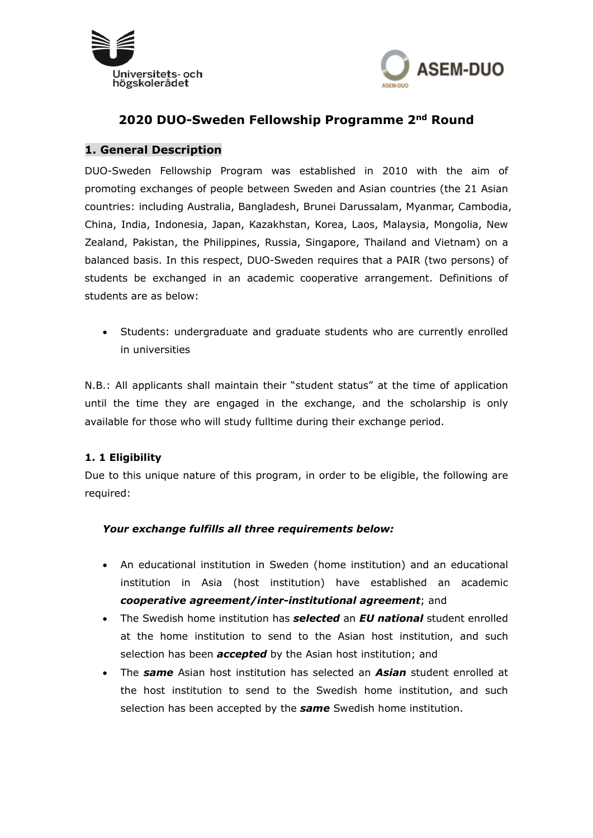



# **2020 DUO-Sweden Fellowship Programme 2nd Round**

#### **1. General Description**

DUO-Sweden Fellowship Program was established in 2010 with the aim of promoting exchanges of people between Sweden and Asian countries (the 21 Asian countries: including Australia, Bangladesh, Brunei Darussalam, Myanmar, Cambodia, China, India, Indonesia, Japan, Kazakhstan, Korea, Laos, Malaysia, Mongolia, New Zealand, Pakistan, the Philippines, Russia, Singapore, Thailand and Vietnam) on a balanced basis. In this respect, DUO-Sweden requires that a PAIR (two persons) of students be exchanged in an academic cooperative arrangement. Definitions of students are as below:

 Students: undergraduate and graduate students who are currently enrolled in universities

N.B.: All applicants shall maintain their "student status" at the time of application until the time they are engaged in the exchange, and the scholarship is only available for those who will study fulltime during their exchange period.

#### **1. 1 Eligibility**

Due to this unique nature of this program, in order to be eligible, the following are required:

#### *Your exchange fulfills all three requirements below:*

- An educational institution in Sweden (home institution) and an educational institution in Asia (host institution) have established an academic *cooperative agreement/inter-institutional agreement*; and
- The Swedish home institution has *selected* an *EU national* student enrolled at the home institution to send to the Asian host institution, and such selection has been *accepted* by the Asian host institution; and
- The *same* Asian host institution has selected an *Asian* student enrolled at the host institution to send to the Swedish home institution, and such selection has been accepted by the *same* Swedish home institution.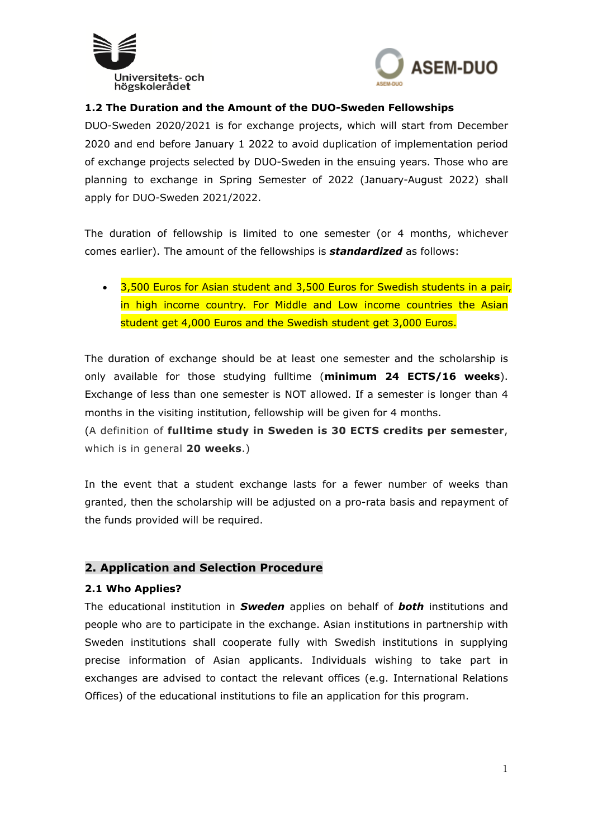



### **1.2 The Duration and the Amount of the DUO-Sweden Fellowships**

DUO-Sweden 2020/2021 is for exchange projects, which will start from December 2020 and end before January 1 2022 to avoid duplication of implementation period of exchange projects selected by DUO-Sweden in the ensuing years. Those who are planning to exchange in Spring Semester of 2022 (January-August 2022) shall apply for DUO-Sweden 2021/2022.

The duration of fellowship is limited to one semester (or 4 months, whichever comes earlier). The amount of the fellowships is *standardized* as follows:

• 3,500 Euros for Asian student and 3,500 Euros for Swedish students in a pair, in high income country. For Middle and Low income countries the Asian student get 4,000 Euros and the Swedish student get 3,000 Euros.

The duration of exchange should be at least one semester and the scholarship is only available for those studying fulltime (**minimum 24 ECTS/16 weeks**). Exchange of less than one semester is NOT allowed. If a semester is longer than 4 months in the visiting institution, fellowship will be given for 4 months.

(A definition of **fulltime study in Sweden is 30 ECTS credits per semester**, which is in general **20 weeks**.)

In the event that a student exchange lasts for a fewer number of weeks than granted, then the scholarship will be adjusted on a pro-rata basis and repayment of the funds provided will be required.

#### **2. Application and Selection Procedure**

#### **2.1 Who Applies?**

The educational institution in *Sweden* applies on behalf of *both* institutions and people who are to participate in the exchange. Asian institutions in partnership with Sweden institutions shall cooperate fully with Swedish institutions in supplying precise information of Asian applicants. Individuals wishing to take part in exchanges are advised to contact the relevant offices (e.g. International Relations Offices) of the educational institutions to file an application for this program.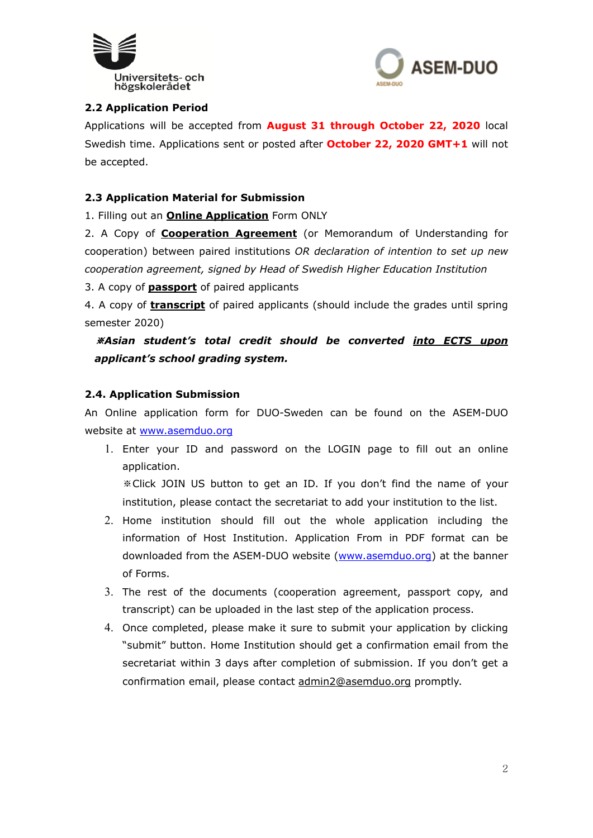



## **2.2 Application Period**

Applications will be accepted from **August 31 through October 22, 2020** local Swedish time. Applications sent or posted after **October 22, 2020 GMT+1** will not be accepted.

#### **2.3 Application Material for Submission**

1. Filling out an **Online Application** Form ONLY

2. A Copy of **Cooperation Agreement** (or Memorandum of Understanding for cooperation) between paired institutions *OR declaration of intention to set up new cooperation agreement, signed by Head of Swedish Higher Education Institution*

3. A copy of **passport** of paired applicants

4. A copy of **transcript** of paired applicants (should include the grades until spring semester 2020)

※*Asian student's total credit should be converted into ECTS upon applicant's school grading system.*

### **2.4. Application Submission**

An Online application form for DUO-Sweden can be found on the ASEM-DUO website at www.asemduo.org

1. Enter your ID and password on the LOGIN page to fill out an online application.

※Click JOIN US button to get an ID. If you don't find the name of your institution, please contact the secretariat to add your institution to the list.

- 2. Home institution should fill out the whole application including the information of Host Institution. Application From in PDF format can be downloaded from the ASEM-DUO website (www.asemduo.org) at the banner of Forms.
- 3. The rest of the documents (cooperation agreement, passport copy, and transcript) can be uploaded in the last step of the application process.
- 4. Once completed, please make it sure to submit your application by clicking "submit" button. Home Institution should get a confirmation email from the secretariat within 3 days after completion of submission. If you don't get a confirmation email, please contact admin2@asemduo.org promptly.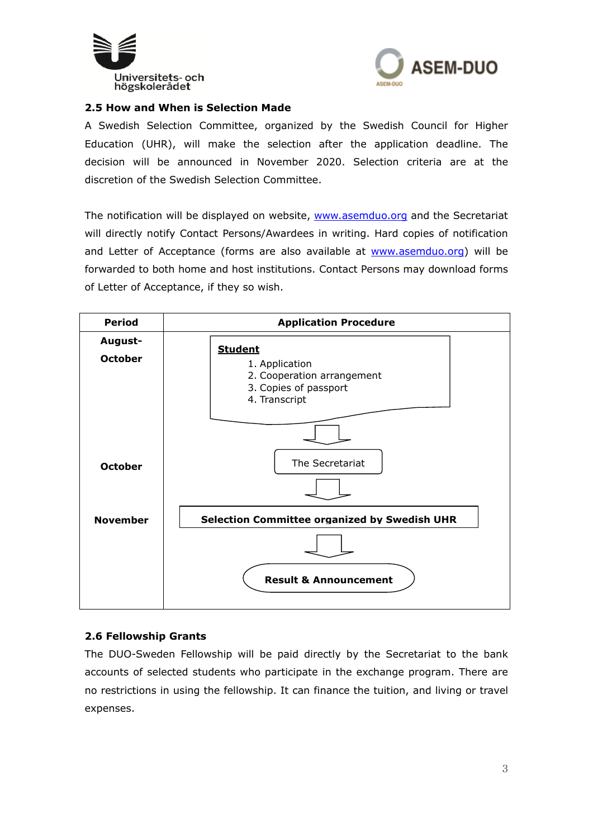



#### **2.5 How and When is Selection Made**

A Swedish Selection Committee, organized by the Swedish Council for Higher Education (UHR), will make the selection after the application deadline. The decision will be announced in November 2020. Selection criteria are at the discretion of the Swedish Selection Committee.

The notification will be displayed on website, www.asemduo.org and the Secretariat will directly notify Contact Persons/Awardees in writing. Hard copies of notification and Letter of Acceptance (forms are also available at www.asemduo.org) will be forwarded to both home and host institutions. Contact Persons may download forms of Letter of Acceptance, if they so wish.



#### **2.6 Fellowship Grants**

The DUO-Sweden Fellowship will be paid directly by the Secretariat to the bank accounts of selected students who participate in the exchange program. There are no restrictions in using the fellowship. It can finance the tuition, and living or travel expenses.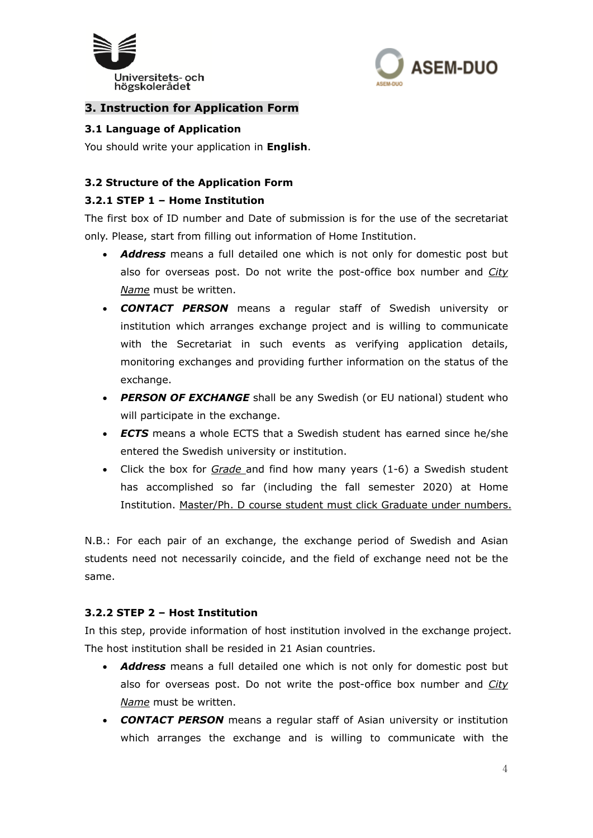



# **3. Instruction for Application Form**

#### **3.1 Language of Application**

You should write your application in **English**.

### **3.2 Structure of the Application Form**

#### **3.2.1 STEP 1 – Home Institution**

The first box of ID number and Date of submission is for the use of the secretariat only. Please, start from filling out information of Home Institution.

- *Address* means a full detailed one which is not only for domestic post but also for overseas post. Do not write the post-office box number and *City Name* must be written.
- *CONTACT PERSON* means a regular staff of Swedish university or institution which arranges exchange project and is willing to communicate with the Secretariat in such events as verifying application details, monitoring exchanges and providing further information on the status of the exchange.
- *PERSON OF EXCHANGE* shall be any Swedish (or EU national) student who will participate in the exchange.
- *ECTS* means a whole ECTS that a Swedish student has earned since he/she entered the Swedish university or institution.
- Click the box for *Grade* and find how many years (1-6) a Swedish student has accomplished so far (including the fall semester 2020) at Home Institution. Master/Ph. D course student must click Graduate under numbers.

N.B.: For each pair of an exchange, the exchange period of Swedish and Asian students need not necessarily coincide, and the field of exchange need not be the same.

#### **3.2.2 STEP 2 – Host Institution**

In this step, provide information of host institution involved in the exchange project. The host institution shall be resided in 21 Asian countries.

- *Address* means a full detailed one which is not only for domestic post but also for overseas post. Do not write the post-office box number and *City Name* must be written.
- *CONTACT PERSON* means a regular staff of Asian university or institution which arranges the exchange and is willing to communicate with the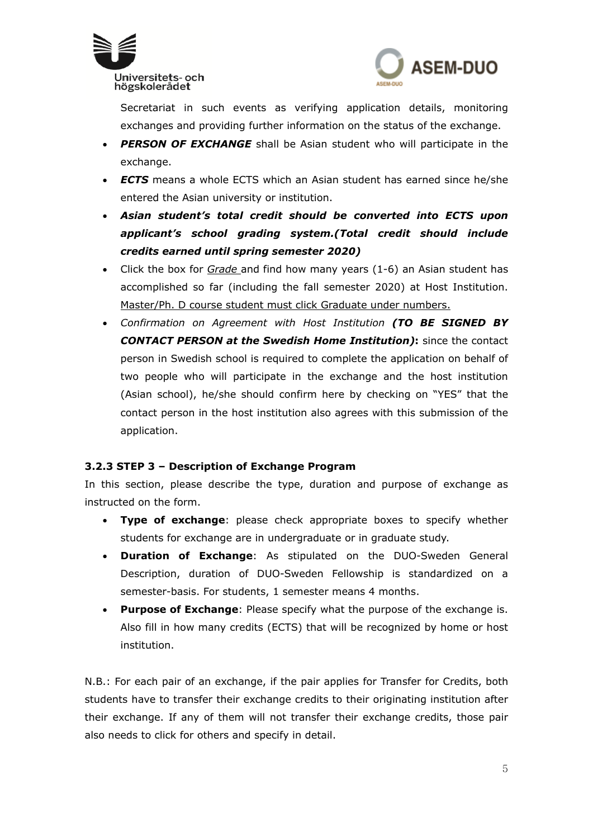



Secretariat in such events as verifying application details, monitoring exchanges and providing further information on the status of the exchange.

- *PERSON OF EXCHANGE* shall be Asian student who will participate in the exchange.
- *ECTS* means a whole ECTS which an Asian student has earned since he/she entered the Asian university or institution.
- *Asian student's total credit should be converted into ECTS upon applicant's school grading system.(Total credit should include credits earned until spring semester 2020)*
- Click the box for *Grade* and find how many years (1-6) an Asian student has accomplished so far (including the fall semester 2020) at Host Institution. Master/Ph. D course student must click Graduate under numbers.
- *Confirmation on Agreement with Host Institution (TO BE SIGNED BY CONTACT PERSON at the Swedish Home Institution)***:** since the contact person in Swedish school is required to complete the application on behalf of two people who will participate in the exchange and the host institution (Asian school), he/she should confirm here by checking on "YES" that the contact person in the host institution also agrees with this submission of the application.

# **3.2.3 STEP 3 – Description of Exchange Program**

In this section, please describe the type, duration and purpose of exchange as instructed on the form.

- **Type of exchange**: please check appropriate boxes to specify whether students for exchange are in undergraduate or in graduate study.
- **Duration of Exchange**: As stipulated on the DUO-Sweden General Description, duration of DUO-Sweden Fellowship is standardized on a semester-basis. For students, 1 semester means 4 months.
- **Purpose of Exchange**: Please specify what the purpose of the exchange is. Also fill in how many credits (ECTS) that will be recognized by home or host institution.

N.B.: For each pair of an exchange, if the pair applies for Transfer for Credits, both students have to transfer their exchange credits to their originating institution after their exchange. If any of them will not transfer their exchange credits, those pair also needs to click for others and specify in detail.